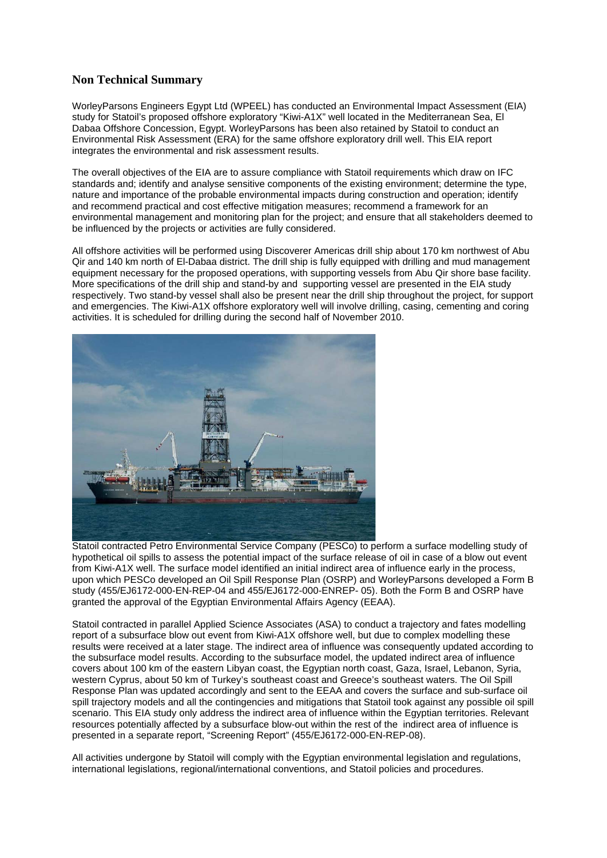## **Non Technical Summary**

WorleyParsons Engineers Egypt Ltd (WPEEL) has conducted an Environmental Impact Assessment (EIA) study for Statoil's proposed offshore exploratory "Kiwi-A1X" well located in the Mediterranean Sea, El Dabaa Offshore Concession, Egypt. WorleyParsons has been also retained by Statoil to conduct an Environmental Risk Assessment (ERA) for the same offshore exploratory drill well. This EIA report integrates the environmental and risk assessment results.

The overall objectives of the EIA are to assure compliance with Statoil requirements which draw on IFC standards and; identify and analyse sensitive components of the existing environment; determine the type, nature and importance of the probable environmental impacts during construction and operation; identify and recommend practical and cost effective mitigation measures; recommend a framework for an environmental management and monitoring plan for the project; and ensure that all stakeholders deemed to be influenced by the projects or activities are fully considered.

All offshore activities will be performed using Discoverer Americas drill ship about 170 km northwest of Abu Qir and 140 km north of El-Dabaa district. The drill ship is fully equipped with drilling and mud management equipment necessary for the proposed operations, with supporting vessels from Abu Qir shore base facility. More specifications of the drill ship and stand-by and supporting vessel are presented in the EIA study respectively. Two stand-by vessel shall also be present near the drill ship throughout the project, for support and emergencies. The Kiwi-A1X offshore exploratory well will involve drilling, casing, cementing and coring activities. It is scheduled for drilling during the second half of November 2010.



Statoil contracted Petro Environmental Service Company (PESCo) to perform a surface modelling study of hypothetical oil spills to assess the potential impact of the surface release of oil in case of a blow out event from Kiwi-A1X well. The surface model identified an initial indirect area of influence early in the process, upon which PESCo developed an Oil Spill Response Plan (OSRP) and WorleyParsons developed a Form B study (455/EJ6172-000-EN-REP-04 and 455/EJ6172-000-ENREP- 05). Both the Form B and OSRP have granted the approval of the Egyptian Environmental Affairs Agency (EEAA).

Statoil contracted in parallel Applied Science Associates (ASA) to conduct a trajectory and fates modelling report of a subsurface blow out event from Kiwi-A1X offshore well, but due to complex modelling these results were received at a later stage. The indirect area of influence was consequently updated according to the subsurface model results. According to the subsurface model, the updated indirect area of influence covers about 100 km of the eastern Libyan coast, the Egyptian north coast, Gaza, Israel, Lebanon, Syria, western Cyprus, about 50 km of Turkey's southeast coast and Greece's southeast waters. The Oil Spill Response Plan was updated accordingly and sent to the EEAA and covers the surface and sub-surface oil spill trajectory models and all the contingencies and mitigations that Statoil took against any possible oil spill scenario. This EIA study only address the indirect area of influence within the Egyptian territories. Relevant resources potentially affected by a subsurface blow-out within the rest of the indirect area of influence is presented in a separate report, "Screening Report" (455/EJ6172-000-EN-REP-08).

All activities undergone by Statoil will comply with the Egyptian environmental legislation and regulations, international legislations, regional/international conventions, and Statoil policies and procedures.